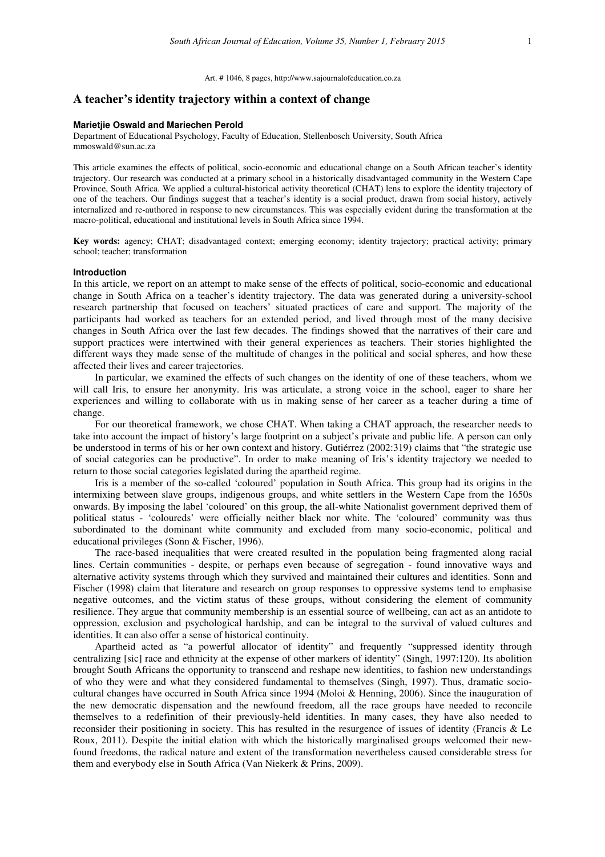Art. # 1046, 8 pages, http://www.sajournalofeducation.co.za

# **A teacher's identity trajectory within a context of change**

#### **Marietjie Oswald and Mariechen Perold**

Department of Educational Psychology, Faculty of Education, Stellenbosch University, South Africa mmoswald@sun.ac.za

This article examines the effects of political, socio-economic and educational change on a South African teacher's identity trajectory. Our research was conducted at a primary school in a historically disadvantaged community in the Western Cape Province, South Africa. We applied a cultural-historical activity theoretical (CHAT) lens to explore the identity trajectory of one of the teachers. Our findings suggest that a teacher's identity is a social product, drawn from social history, actively internalized and re-authored in response to new circumstances. This was especially evident during the transformation at the macro-political, educational and institutional levels in South Africa since 1994.

**Key words:** agency; CHAT; disadvantaged context; emerging economy; identity trajectory; practical activity; primary school; teacher; transformation

### **Introduction**

In this article, we report on an attempt to make sense of the effects of political, socio-economic and educational change in South Africa on a teacher's identity trajectory. The data was generated during a university-school research partnership that focused on teachers' situated practices of care and support. The majority of the participants had worked as teachers for an extended period, and lived through most of the many decisive changes in South Africa over the last few decades. The findings showed that the narratives of their care and support practices were intertwined with their general experiences as teachers. Their stories highlighted the different ways they made sense of the multitude of changes in the political and social spheres, and how these affected their lives and career trajectories.

In particular, we examined the effects of such changes on the identity of one of these teachers, whom we will call Iris, to ensure her anonymity. Iris was articulate, a strong voice in the school, eager to share her experiences and willing to collaborate with us in making sense of her career as a teacher during a time of change.

For our theoretical framework, we chose CHAT. When taking a CHAT approach, the researcher needs to take into account the impact of history's large footprint on a subject's private and public life. A person can only be understood in terms of his or her own context and history. Gutiérrez (2002:319) claims that "the strategic use of social categories can be productive". In order to make meaning of Iris's identity trajectory we needed to return to those social categories legislated during the apartheid regime.

Iris is a member of the so-called 'coloured' population in South Africa. This group had its origins in the intermixing between slave groups, indigenous groups, and white settlers in the Western Cape from the 1650s onwards. By imposing the label 'coloured' on this group, the all-white Nationalist government deprived them of political status - 'coloureds' were officially neither black nor white. The 'coloured' community was thus subordinated to the dominant white community and excluded from many socio-economic, political and educational privileges (Sonn & Fischer, 1996).

The race-based inequalities that were created resulted in the population being fragmented along racial lines. Certain communities - despite, or perhaps even because of segregation - found innovative ways and alternative activity systems through which they survived and maintained their cultures and identities. Sonn and Fischer (1998) claim that literature and research on group responses to oppressive systems tend to emphasise negative outcomes, and the victim status of these groups, without considering the element of community resilience. They argue that community membership is an essential source of wellbeing, can act as an antidote to oppression, exclusion and psychological hardship, and can be integral to the survival of valued cultures and identities. It can also offer a sense of historical continuity.

Apartheid acted as "a powerful allocator of identity" and frequently "suppressed identity through centralizing [sic] race and ethnicity at the expense of other markers of identity" (Singh, 1997:120). Its abolition brought South Africans the opportunity to transcend and reshape new identities, to fashion new understandings of who they were and what they considered fundamental to themselves (Singh, 1997). Thus, dramatic sociocultural changes have occurred in South Africa since 1994 (Moloi & Henning, 2006). Since the inauguration of the new democratic dispensation and the newfound freedom, all the race groups have needed to reconcile themselves to a redefinition of their previously-held identities. In many cases, they have also needed to reconsider their positioning in society. This has resulted in the resurgence of issues of identity (Francis & Le Roux, 2011). Despite the initial elation with which the historically marginalised groups welcomed their newfound freedoms, the radical nature and extent of the transformation nevertheless caused considerable stress for them and everybody else in South Africa (Van Niekerk & Prins, 2009).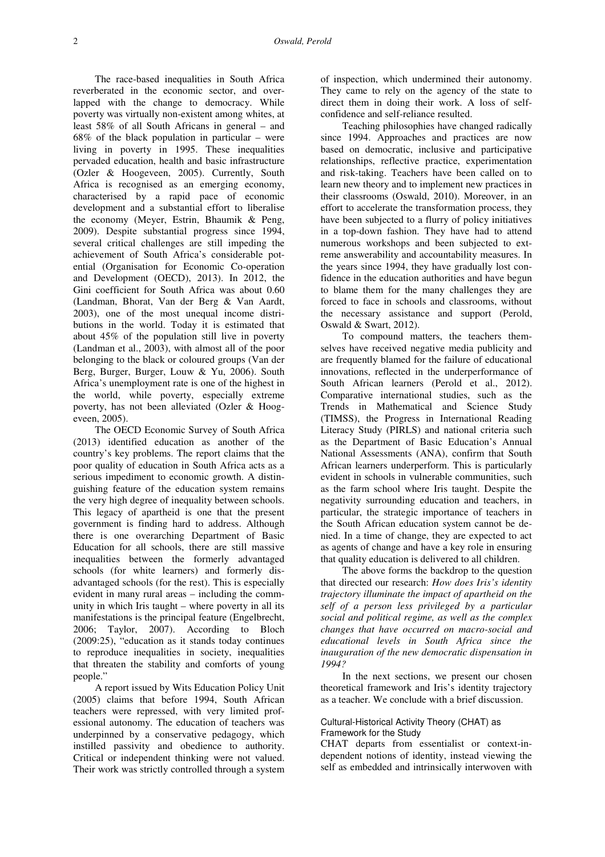The race-based inequalities in South Africa reverberated in the economic sector, and overlapped with the change to democracy. While poverty was virtually non-existent among whites, at least 58% of all South Africans in general – and 68% of the black population in particular – were living in poverty in 1995. These inequalities pervaded education, health and basic infrastructure (Ozler & Hoogeveen, 2005). Currently, South Africa is recognised as an emerging economy, characterised by a rapid pace of economic development and a substantial effort to liberalise the economy (Meyer, Estrin, Bhaumik & Peng, 2009). Despite substantial progress since 1994, several critical challenges are still impeding the achievement of South Africa's considerable potential (Organisation for Economic Co-operation and Development (OECD), 2013). In 2012, the Gini coefficient for South Africa was about 0.60 (Landman, Bhorat, Van der Berg & Van Aardt, 2003), one of the most unequal income distributions in the world. Today it is estimated that about 45% of the population still live in poverty (Landman et al., 2003), with almost all of the poor belonging to the black or coloured groups (Van der Berg, Burger, Burger, Louw & Yu, 2006). South Africa's unemployment rate is one of the highest in the world, while poverty, especially extreme poverty, has not been alleviated (Ozler & Hoogeveen, 2005).

The OECD Economic Survey of South Africa (2013) identified education as another of the country's key problems. The report claims that the poor quality of education in South Africa acts as a serious impediment to economic growth. A distinguishing feature of the education system remains the very high degree of inequality between schools. This legacy of apartheid is one that the present government is finding hard to address. Although there is one overarching Department of Basic Education for all schools, there are still massive inequalities between the formerly advantaged schools (for white learners) and formerly disadvantaged schools (for the rest). This is especially evident in many rural areas – including the community in which Iris taught – where poverty in all its manifestations is the principal feature (Engelbrecht, 2006; Taylor, 2007). According to Bloch (2009:25), "education as it stands today continues to reproduce inequalities in society, inequalities that threaten the stability and comforts of young people."

A report issued by Wits Education Policy Unit (2005) claims that before 1994, South African teachers were repressed, with very limited professional autonomy. The education of teachers was underpinned by a conservative pedagogy, which instilled passivity and obedience to authority. Critical or independent thinking were not valued. Their work was strictly controlled through a system

of inspection, which undermined their autonomy. They came to rely on the agency of the state to direct them in doing their work. A loss of selfconfidence and self-reliance resulted.

Teaching philosophies have changed radically since 1994. Approaches and practices are now based on democratic, inclusive and participative relationships, reflective practice, experimentation and risk-taking. Teachers have been called on to learn new theory and to implement new practices in their classrooms (Oswald, 2010). Moreover, in an effort to accelerate the transformation process, they have been subjected to a flurry of policy initiatives in a top-down fashion. They have had to attend numerous workshops and been subjected to extreme answerability and accountability measures. In the years since 1994, they have gradually lost confidence in the education authorities and have begun to blame them for the many challenges they are forced to face in schools and classrooms, without the necessary assistance and support (Perold, Oswald & Swart, 2012).

To compound matters, the teachers themselves have received negative media publicity and are frequently blamed for the failure of educational innovations, reflected in the underperformance of South African learners (Perold et al., 2012). Comparative international studies, such as the Trends in Mathematical and Science Study (TIMSS), the Progress in International Reading Literacy Study (PIRLS) and national criteria such as the Department of Basic Education's Annual National Assessments (ANA), confirm that South African learners underperform. This is particularly evident in schools in vulnerable communities, such as the farm school where Iris taught. Despite the negativity surrounding education and teachers, in particular, the strategic importance of teachers in the South African education system cannot be denied. In a time of change, they are expected to act as agents of change and have a key role in ensuring that quality education is delivered to all children.

The above forms the backdrop to the question that directed our research: *How does Iris's identity trajectory illuminate the impact of apartheid on the self of a person less privileged by a particular social and political regime, as well as the complex changes that have occurred on macro-social and educational levels in South Africa since the inauguration of the new democratic dispensation in 1994?*

In the next sections, we present our chosen theoretical framework and Iris's identity trajectory as a teacher. We conclude with a brief discussion.

### Cultural-Historical Activity Theory (CHAT) as Framework for the Study

CHAT departs from essentialist or context-independent notions of identity, instead viewing the self as embedded and intrinsically interwoven with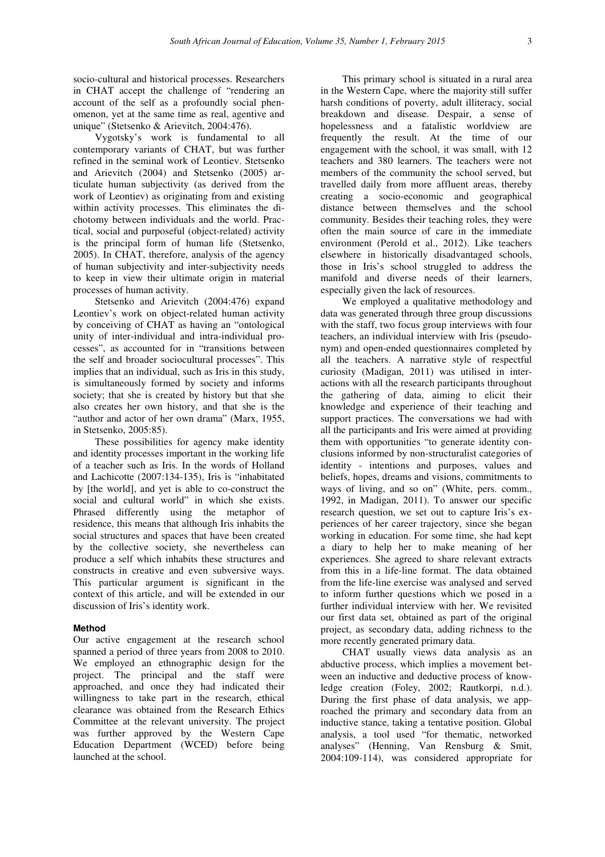socio-cultural and historical processes. Researchers in CHAT accept the challenge of "rendering an account of the self as a profoundly social phenomenon, yet at the same time as real, agentive and unique" (Stetsenko & Arievitch, 2004:476).

Vygotsky's work is fundamental to all contemporary variants of CHAT, but was further refined in the seminal work of Leontiev. Stetsenko and Arievitch (2004) and Stetsenko (2005) articulate human subjectivity (as derived from the work of Leontiev) as originating from and existing within activity processes. This eliminates the dichotomy between individuals and the world. Practical, social and purposeful (object-related) activity is the principal form of human life (Stetsenko, 2005). In CHAT, therefore, analysis of the agency of human subjectivity and inter-subjectivity needs to keep in view their ultimate origin in material processes of human activity.

Stetsenko and Arievitch (2004:476) expand Leontiev's work on object-related human activity by conceiving of CHAT as having an "ontological unity of inter-individual and intra-individual processes", as accounted for in "transitions between the self and broader sociocultural processes". This implies that an individual, such as Iris in this study, is simultaneously formed by society and informs society; that she is created by history but that she also creates her own history, and that she is the "author and actor of her own drama" (Marx, 1955, in Stetsenko, 2005:85).

These possibilities for agency make identity and identity processes important in the working life of a teacher such as Iris. In the words of Holland and Lachicotte (2007:134-135), Iris is "inhabitated by [the world], and yet is able to co-construct the social and cultural world" in which she exists. Phrased differently using the metaphor of residence, this means that although Iris inhabits the social structures and spaces that have been created by the collective society, she nevertheless can produce a self which inhabits these structures and constructs in creative and even subversive ways. This particular argument is significant in the context of this article, and will be extended in our discussion of Iris's identity work.

### **Method**

Our active engagement at the research school spanned a period of three years from 2008 to 2010. We employed an ethnographic design for the project. The principal and the staff were approached, and once they had indicated their willingness to take part in the research, ethical clearance was obtained from the Research Ethics Committee at the relevant university. The project was further approved by the Western Cape Education Department (WCED) before being launched at the school.

This primary school is situated in a rural area in the Western Cape, where the majority still suffer harsh conditions of poverty, adult illiteracy, social breakdown and disease. Despair, a sense of hopelessness and a fatalistic worldview are frequently the result. At the time of our engagement with the school, it was small, with 12 teachers and 380 learners. The teachers were not members of the community the school served, but travelled daily from more affluent areas, thereby creating a socio-economic and geographical distance between themselves and the school community. Besides their teaching roles, they were often the main source of care in the immediate environment (Perold et al., 2012). Like teachers elsewhere in historically disadvantaged schools, those in Iris's school struggled to address the manifold and diverse needs of their learners, especially given the lack of resources.

We employed a qualitative methodology and data was generated through three group discussions with the staff, two focus group interviews with four teachers, an individual interview with Iris (pseudonym) and open-ended questionnaires completed by all the teachers. A narrative style of respectful curiosity (Madigan, 2011) was utilised in interactions with all the research participants throughout the gathering of data, aiming to elicit their knowledge and experience of their teaching and support practices. The conversations we had with all the participants and Iris were aimed at providing them with opportunities "to generate identity conclusions informed by non-structuralist categories of identity - intentions and purposes, values and beliefs, hopes, dreams and visions, commitments to ways of living, and so on" (White, pers. comm., 1992, in Madigan, 2011). To answer our specific research question, we set out to capture Iris's experiences of her career trajectory, since she began working in education. For some time, she had kept a diary to help her to make meaning of her experiences. She agreed to share relevant extracts from this in a life-line format. The data obtained from the life-line exercise was analysed and served to inform further questions which we posed in a further individual interview with her. We revisited our first data set, obtained as part of the original project, as secondary data, adding richness to the more recently generated primary data.

CHAT usually views data analysis as an abductive process, which implies a movement between an inductive and deductive process of knowledge creation (Foley, 2002; Rautkorpi, n.d.). During the first phase of data analysis, we approached the primary and secondary data from an inductive stance, taking a tentative position. Global analysis, a tool used "for thematic, networked analyses" (Henning, Van Rensburg & Smit, 2004:109-114), was considered appropriate for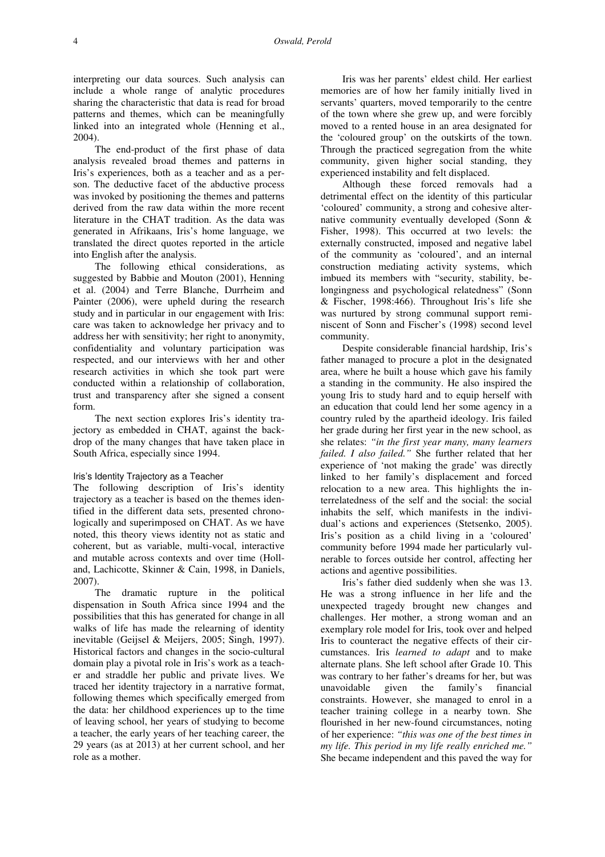interpreting our data sources. Such analysis can include a whole range of analytic procedures sharing the characteristic that data is read for broad patterns and themes, which can be meaningfully linked into an integrated whole (Henning et al., 2004).

The end-product of the first phase of data analysis revealed broad themes and patterns in Iris's experiences, both as a teacher and as a person. The deductive facet of the abductive process was invoked by positioning the themes and patterns derived from the raw data within the more recent literature in the CHAT tradition. As the data was generated in Afrikaans, Iris's home language, we translated the direct quotes reported in the article into English after the analysis.

The following ethical considerations, as suggested by Babbie and Mouton (2001), Henning et al. (2004) and Terre Blanche, Durrheim and Painter (2006), were upheld during the research study and in particular in our engagement with Iris: care was taken to acknowledge her privacy and to address her with sensitivity; her right to anonymity, confidentiality and voluntary participation was respected, and our interviews with her and other research activities in which she took part were conducted within a relationship of collaboration, trust and transparency after she signed a consent form.

The next section explores Iris's identity trajectory as embedded in CHAT, against the backdrop of the many changes that have taken place in South Africa, especially since 1994.

#### Iris's Identity Trajectory as a Teacher

The following description of Iris's identity trajectory as a teacher is based on the themes identified in the different data sets, presented chronologically and superimposed on CHAT. As we have noted, this theory views identity not as static and coherent, but as variable, multi-vocal, interactive and mutable across contexts and over time (Holland, Lachicotte, Skinner & Cain, 1998, in Daniels, 2007).

The dramatic rupture in the political dispensation in South Africa since 1994 and the possibilities that this has generated for change in all walks of life has made the relearning of identity inevitable (Geijsel & Meijers, 2005; Singh, 1997). Historical factors and changes in the socio-cultural domain play a pivotal role in Iris's work as a teacher and straddle her public and private lives. We traced her identity trajectory in a narrative format, following themes which specifically emerged from the data: her childhood experiences up to the time of leaving school, her years of studying to become a teacher, the early years of her teaching career, the 29 years (as at 2013) at her current school, and her role as a mother.

Iris was her parents' eldest child. Her earliest memories are of how her family initially lived in servants' quarters, moved temporarily to the centre of the town where she grew up, and were forcibly moved to a rented house in an area designated for the 'coloured group' on the outskirts of the town. Through the practiced segregation from the white community, given higher social standing, they experienced instability and felt displaced.

Although these forced removals had a detrimental effect on the identity of this particular 'coloured' community, a strong and cohesive alternative community eventually developed (Sonn & Fisher, 1998). This occurred at two levels: the externally constructed, imposed and negative label of the community as 'coloured', and an internal construction mediating activity systems, which imbued its members with "security, stability, belongingness and psychological relatedness" (Sonn & Fischer, 1998:466). Throughout Iris's life she was nurtured by strong communal support reminiscent of Sonn and Fischer's (1998) second level community.

Despite considerable financial hardship, Iris's father managed to procure a plot in the designated area, where he built a house which gave his family a standing in the community. He also inspired the young Iris to study hard and to equip herself with an education that could lend her some agency in a country ruled by the apartheid ideology. Iris failed her grade during her first year in the new school, as she relates: *"in the first year many, many learners failed. I also failed."* She further related that her experience of 'not making the grade' was directly linked to her family's displacement and forced relocation to a new area. This highlights the interrelatedness of the self and the social: the social inhabits the self, which manifests in the individual's actions and experiences (Stetsenko, 2005). Iris's position as a child living in a 'coloured' community before 1994 made her particularly vulnerable to forces outside her control, affecting her actions and agentive possibilities.

Iris's father died suddenly when she was 13. He was a strong influence in her life and the unexpected tragedy brought new changes and challenges. Her mother, a strong woman and an exemplary role model for Iris, took over and helped Iris to counteract the negative effects of their circumstances. Iris *learned to adapt* and to make alternate plans. She left school after Grade 10. This was contrary to her father's dreams for her, but was unavoidable given the family's financial constraints. However, she managed to enrol in a teacher training college in a nearby town. She flourished in her new-found circumstances, noting of her experience: *"this was one of the best times in my life. This period in my life really enriched me."*  She became independent and this paved the way for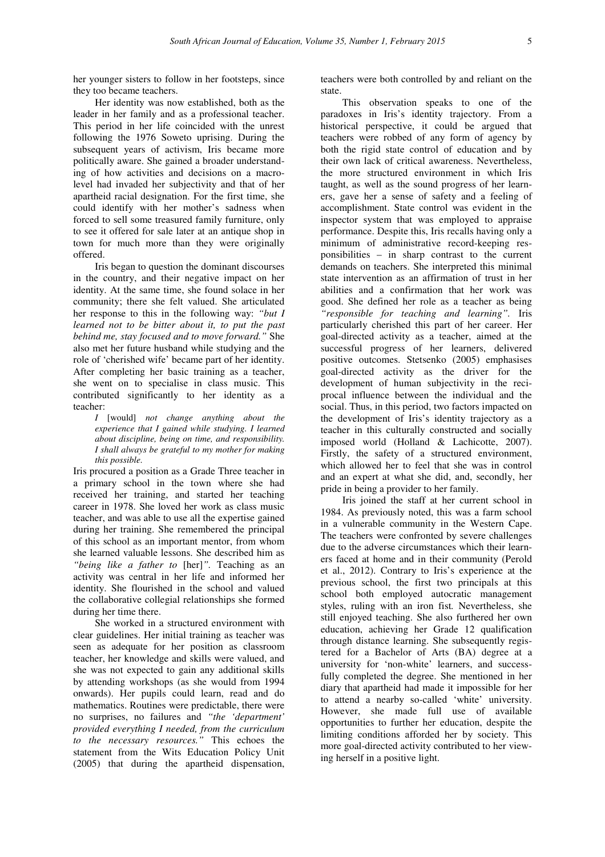her younger sisters to follow in her footsteps, since they too became teachers.

Her identity was now established, both as the leader in her family and as a professional teacher. This period in her life coincided with the unrest following the 1976 Soweto uprising. During the subsequent years of activism, Iris became more politically aware. She gained a broader understanding of how activities and decisions on a macrolevel had invaded her subjectivity and that of her apartheid racial designation. For the first time, she could identify with her mother's sadness when forced to sell some treasured family furniture, only to see it offered for sale later at an antique shop in town for much more than they were originally offered.

Iris began to question the dominant discourses in the country, and their negative impact on her identity. At the same time, she found solace in her community; there she felt valued. She articulated her response to this in the following way: *"but I learned not to be bitter about it, to put the past behind me, stay focused and to move forward."* She also met her future husband while studying and the role of 'cherished wife' became part of her identity. After completing her basic training as a teacher, she went on to specialise in class music. This contributed significantly to her identity as a teacher:

*I* [would] *not change anything about the experience that I gained while studying. I learned about discipline, being on time, and responsibility. I shall always be grateful to my mother for making this possible.* 

Iris procured a position as a Grade Three teacher in a primary school in the town where she had received her training, and started her teaching career in 1978. She loved her work as class music teacher, and was able to use all the expertise gained during her training. She remembered the principal of this school as an important mentor, from whom she learned valuable lessons. She described him as *"being like a father to* [her]*".* Teaching as an activity was central in her life and informed her identity. She flourished in the school and valued the collaborative collegial relationships she formed during her time there.

She worked in a structured environment with clear guidelines. Her initial training as teacher was seen as adequate for her position as classroom teacher, her knowledge and skills were valued, and she was not expected to gain any additional skills by attending workshops (as she would from 1994 onwards). Her pupils could learn, read and do mathematics. Routines were predictable, there were no surprises, no failures and *"the 'department' provided everything I needed, from the curriculum to the necessary resources."* This echoes the statement from the Wits Education Policy Unit (2005) that during the apartheid dispensation,

teachers were both controlled by and reliant on the state.

This observation speaks to one of the paradoxes in Iris's identity trajectory. From a historical perspective, it could be argued that teachers were robbed of any form of agency by both the rigid state control of education and by their own lack of critical awareness. Nevertheless, the more structured environment in which Iris taught, as well as the sound progress of her learners, gave her a sense of safety and a feeling of accomplishment. State control was evident in the inspector system that was employed to appraise performance. Despite this, Iris recalls having only a minimum of administrative record-keeping responsibilities – in sharp contrast to the current demands on teachers. She interpreted this minimal state intervention as an affirmation of trust in her abilities and a confirmation that her work was good. She defined her role as a teacher as being *"responsible for teaching and learning".* Iris particularly cherished this part of her career. Her goal-directed activity as a teacher, aimed at the successful progress of her learners, delivered positive outcomes. Stetsenko (2005) emphasises goal-directed activity as the driver for the development of human subjectivity in the reciprocal influence between the individual and the social. Thus, in this period, two factors impacted on the development of Iris's identity trajectory as a teacher in this culturally constructed and socially imposed world (Holland & Lachicotte, 2007). Firstly, the safety of a structured environment, which allowed her to feel that she was in control and an expert at what she did, and, secondly, her pride in being a provider to her family.

Iris joined the staff at her current school in 1984. As previously noted, this was a farm school in a vulnerable community in the Western Cape. The teachers were confronted by severe challenges due to the adverse circumstances which their learners faced at home and in their community (Perold et al., 2012). Contrary to Iris's experience at the previous school, the first two principals at this school both employed autocratic management styles, ruling with an iron fist*.* Nevertheless, she still enjoyed teaching. She also furthered her own education, achieving her Grade 12 qualification through distance learning. She subsequently registered for a Bachelor of Arts (BA) degree at a university for 'non-white' learners, and successfully completed the degree. She mentioned in her diary that apartheid had made it impossible for her to attend a nearby so-called 'white' university. However, she made full use of available opportunities to further her education, despite the limiting conditions afforded her by society. This more goal-directed activity contributed to her viewing herself in a positive light.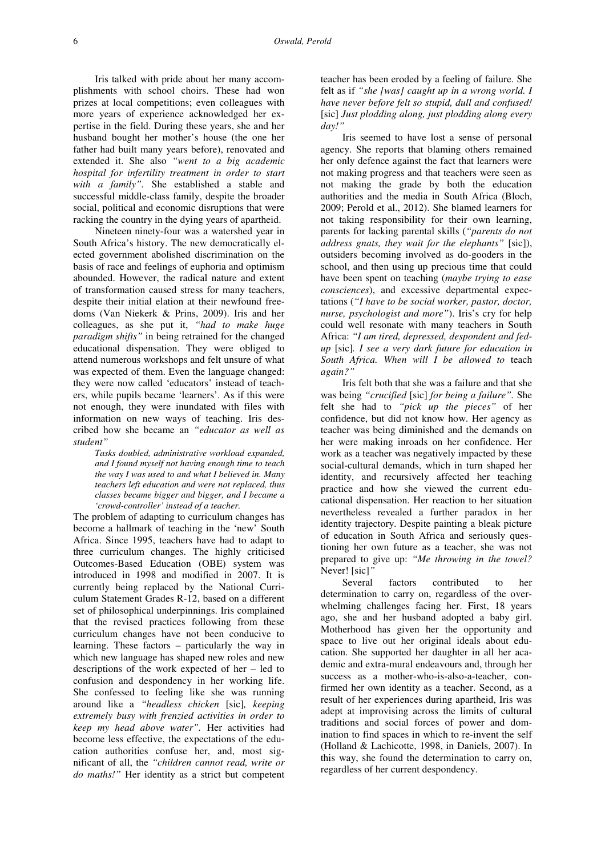Iris talked with pride about her many accomplishments with school choirs. These had won prizes at local competitions; even colleagues with more years of experience acknowledged her expertise in the field. During these years, she and her husband bought her mother's house (the one her father had built many years before), renovated and extended it. She also *"went to a big academic hospital for infertility treatment in order to start with a family".* She established a stable and successful middle-class family, despite the broader social, political and economic disruptions that were racking the country in the dying years of apartheid.

Nineteen ninety-four was a watershed year in South Africa's history. The new democratically elected government abolished discrimination on the basis of race and feelings of euphoria and optimism abounded. However, the radical nature and extent of transformation caused stress for many teachers, despite their initial elation at their newfound freedoms (Van Niekerk & Prins, 2009). Iris and her colleagues, as she put it, *"had to make huge paradigm shifts"* in being retrained for the changed educational dispensation. They were obliged to attend numerous workshops and felt unsure of what was expected of them. Even the language changed: they were now called 'educators' instead of teachers, while pupils became 'learners'. As if this were not enough, they were inundated with files with information on new ways of teaching. Iris described how she became an *"educator as well as student"* 

*Tasks doubled, administrative workload expanded, and I found myself not having enough time to teach the way I was used to and what I believed in. Many teachers left education and were not replaced, thus classes became bigger and bigger, and I became a 'crowd-controller' instead of a teacher.*

The problem of adapting to curriculum changes has become a hallmark of teaching in the 'new' South Africa. Since 1995, teachers have had to adapt to three curriculum changes. The highly criticised Outcomes-Based Education (OBE) system was introduced in 1998 and modified in 2007. It is currently being replaced by the National Curriculum Statement Grades R-12, based on a different set of philosophical underpinnings. Iris complained that the revised practices following from these curriculum changes have not been conducive to learning. These factors – particularly the way in which new language has shaped new roles and new descriptions of the work expected of her – led to confusion and despondency in her working life. She confessed to feeling like she was running around like a *"headless chicken* [sic]*, keeping extremely busy with frenzied activities in order to keep my head above water".* Her activities had become less effective, the expectations of the education authorities confuse her, and, most significant of all, the *"children cannot read, write or do maths!"* Her identity as a strict but competent

teacher has been eroded by a feeling of failure. She felt as if *"she [was] caught up in a wrong world. I have never before felt so stupid, dull and confused!*  [sic] *Just plodding along, just plodding along every day!"*

Iris seemed to have lost a sense of personal agency. She reports that blaming others remained her only defence against the fact that learners were not making progress and that teachers were seen as not making the grade by both the education authorities and the media in South Africa (Bloch, 2009; Perold et al., 2012). She blamed learners for not taking responsibility for their own learning, parents for lacking parental skills (*"parents do not address gnats, they wait for the elephants"* [sic]), outsiders becoming involved as do-gooders in the school, and then using up precious time that could have been spent on teaching (*maybe trying to ease consciences*), and excessive departmental expectations (*"I have to be social worker, pastor, doctor, nurse, psychologist and more"*). Iris's cry for help could well resonate with many teachers in South Africa: *"I am tired, depressed, despondent and fedup* [sic]*. I see a very dark future for education in South Africa. When will I be allowed to* teach *again?"*

Iris felt both that she was a failure and that she was being *"crucified* [sic] *for being a failure".* She felt she had to *"pick up the pieces"* of her confidence, but did not know how. Her agency as teacher was being diminished and the demands on her were making inroads on her confidence. Her work as a teacher was negatively impacted by these social-cultural demands, which in turn shaped her identity, and recursively affected her teaching practice and how she viewed the current educational dispensation. Her reaction to her situation nevertheless revealed a further paradox in her identity trajectory. Despite painting a bleak picture of education in South Africa and seriously questioning her own future as a teacher, she was not prepared to give up: *"Me throwing in the towel?*  Never! [sic]*"*

Several factors contributed to her determination to carry on, regardless of the overwhelming challenges facing her. First, 18 years ago, she and her husband adopted a baby girl. Motherhood has given her the opportunity and space to live out her original ideals about education. She supported her daughter in all her academic and extra-mural endeavours and, through her success as a mother-who-is-also-a-teacher, confirmed her own identity as a teacher. Second, as a result of her experiences during apartheid, Iris was adept at improvising across the limits of cultural traditions and social forces of power and domination to find spaces in which to re-invent the self (Holland & Lachicotte, 1998, in Daniels, 2007). In this way, she found the determination to carry on, regardless of her current despondency.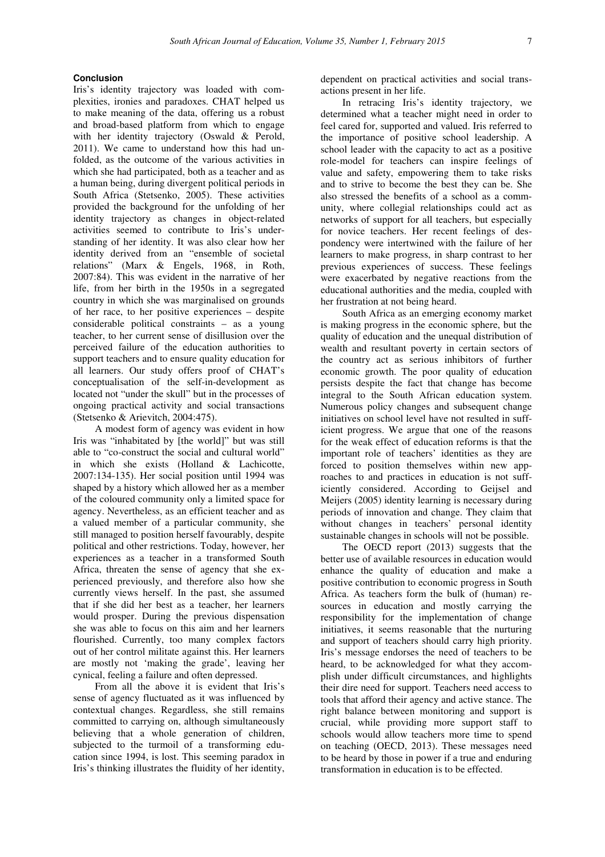## **Conclusion**

Iris's identity trajectory was loaded with complexities, ironies and paradoxes. CHAT helped us to make meaning of the data, offering us a robust and broad-based platform from which to engage with her identity trajectory (Oswald & Perold, 2011). We came to understand how this had unfolded, as the outcome of the various activities in which she had participated, both as a teacher and as a human being, during divergent political periods in South Africa (Stetsenko, 2005). These activities provided the background for the unfolding of her identity trajectory as changes in object-related activities seemed to contribute to Iris's understanding of her identity. It was also clear how her identity derived from an "ensemble of societal relations" (Marx & Engels, 1968, in Roth, 2007:84). This was evident in the narrative of her life, from her birth in the 1950s in a segregated country in which she was marginalised on grounds of her race, to her positive experiences – despite considerable political constraints – as a young teacher, to her current sense of disillusion over the perceived failure of the education authorities to support teachers and to ensure quality education for all learners. Our study offers proof of CHAT's conceptualisation of the self-in-development as located not "under the skull" but in the processes of ongoing practical activity and social transactions (Stetsenko & Arievitch, 2004:475).

A modest form of agency was evident in how Iris was "inhabitated by [the world]" but was still able to "co-construct the social and cultural world" in which she exists (Holland & Lachicotte, 2007:134-135). Her social position until 1994 was shaped by a history which allowed her as a member of the coloured community only a limited space for agency. Nevertheless, as an efficient teacher and as a valued member of a particular community, she still managed to position herself favourably, despite political and other restrictions. Today, however, her experiences as a teacher in a transformed South Africa, threaten the sense of agency that she experienced previously, and therefore also how she currently views herself. In the past, she assumed that if she did her best as a teacher, her learners would prosper. During the previous dispensation she was able to focus on this aim and her learners flourished. Currently, too many complex factors out of her control militate against this. Her learners are mostly not 'making the grade', leaving her cynical, feeling a failure and often depressed.

From all the above it is evident that Iris's sense of agency fluctuated as it was influenced by contextual changes. Regardless, she still remains committed to carrying on, although simultaneously believing that a whole generation of children, subjected to the turmoil of a transforming education since 1994, is lost. This seeming paradox in Iris's thinking illustrates the fluidity of her identity,

dependent on practical activities and social transactions present in her life.

In retracing Iris's identity trajectory, we determined what a teacher might need in order to feel cared for, supported and valued. Iris referred to the importance of positive school leadership. A school leader with the capacity to act as a positive role-model for teachers can inspire feelings of value and safety, empowering them to take risks and to strive to become the best they can be. She also stressed the benefits of a school as a community, where collegial relationships could act as networks of support for all teachers, but especially for novice teachers. Her recent feelings of despondency were intertwined with the failure of her learners to make progress, in sharp contrast to her previous experiences of success. These feelings were exacerbated by negative reactions from the educational authorities and the media, coupled with her frustration at not being heard.

South Africa as an emerging economy market is making progress in the economic sphere, but the quality of education and the unequal distribution of wealth and resultant poverty in certain sectors of the country act as serious inhibitors of further economic growth. The poor quality of education persists despite the fact that change has become integral to the South African education system. Numerous policy changes and subsequent change initiatives on school level have not resulted in sufficient progress. We argue that one of the reasons for the weak effect of education reforms is that the important role of teachers' identities as they are forced to position themselves within new approaches to and practices in education is not sufficiently considered. According to Geijsel and Meijers (2005) identity learning is necessary during periods of innovation and change. They claim that without changes in teachers' personal identity sustainable changes in schools will not be possible.

The OECD report (2013) suggests that the better use of available resources in education would enhance the quality of education and make a positive contribution to economic progress in South Africa. As teachers form the bulk of (human) resources in education and mostly carrying the responsibility for the implementation of change initiatives, it seems reasonable that the nurturing and support of teachers should carry high priority. Iris's message endorses the need of teachers to be heard, to be acknowledged for what they accomplish under difficult circumstances, and highlights their dire need for support. Teachers need access to tools that afford their agency and active stance. The right balance between monitoring and support is crucial, while providing more support staff to schools would allow teachers more time to spend on teaching (OECD, 2013). These messages need to be heard by those in power if a true and enduring transformation in education is to be effected.